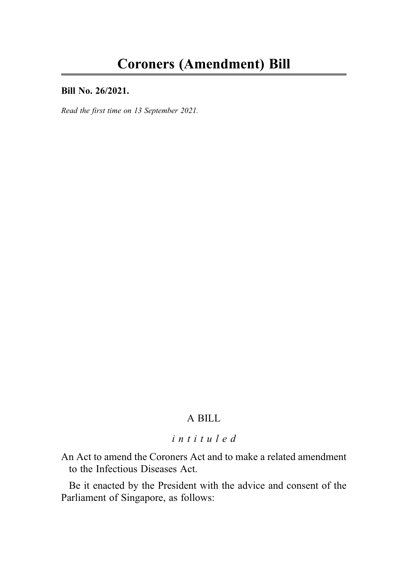#### Bill No. 26/2021.

Read the first time on 13 September 2021.

# A BILL

# intituled

An Act to amend the Coroners Act and to make a related amendment to the Infectious Diseases Act.

Be it enacted by the President with the advice and consent of the Parliament of Singapore, as follows: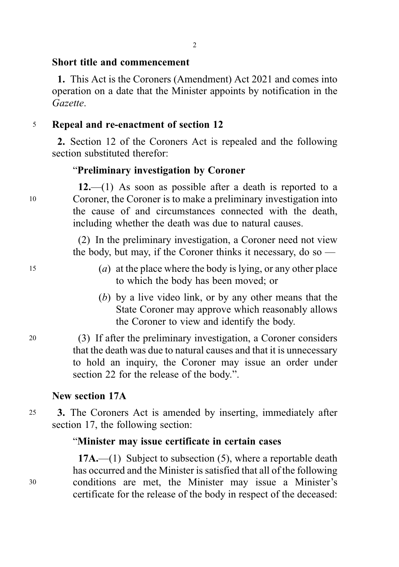#### 2

### Short title and commencement

1. This Act is the Coroners (Amendment) Act 2021 and comes into operation on a date that the Minister appoints by notification in the Gazette.

### <sup>5</sup> Repeal and re-enactment of section 12

2. Section 12 of the Coroners Act is repealed and the following section substituted therefor:

#### "Preliminary investigation by Coroner

 $12$ ,  $-$ (1) As soon as possible after a death is reported to a <sup>10</sup> Coroner, the Coroner is to make a preliminary investigation into the cause of and circumstances connected with the death, including whether the death was due to natural causes.

> (2) In the preliminary investigation, a Coroner need not view the body, but may, if the Coroner thinks it necessary, do so —

- <sup>15</sup> (a) at the place where the body is lying, or any other place to which the body has been moved; or
	- (b) by a live video link, or by any other means that the State Coroner may approve which reasonably allows the Coroner to view and identify the body.
- <sup>20</sup> (3) If after the preliminary investigation, a Coroner considers that the death was due to natural causes and that it is unnecessary to hold an inquiry, the Coroner may issue an order under section 22 for the release of the body.".

#### New section 17A

<sup>25</sup> 3. The Coroners Act is amended by inserting, immediately after section 17, the following section:

### "Minister may issue certificate in certain cases

 $17A$ .—(1) Subject to subsection (5), where a reportable death has occurred and the Minister is satisfied that all of the following <sup>30</sup> conditions are met, the Minister may issue a Minister's certificate for the release of the body in respect of the deceased: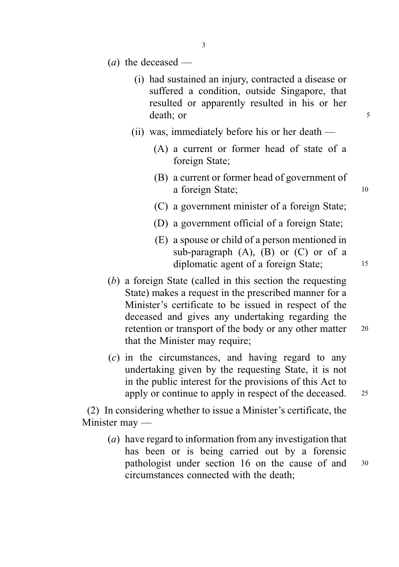- $(a)$  the deceased
	- (i) had sustained an injury, contracted a disease or suffered a condition, outside Singapore, that resulted or apparently resulted in his or her death: or 5
	- (ii) was, immediately before his or her death
		- (A) a current or former head of state of a foreign State;
		- (B) a current or former head of government of a foreign State; 10
		- (C) a government minister of a foreign State;
		- (D) a government official of a foreign State;
		- (E) a spouse or child of a person mentioned in sub-paragraph  $(A)$ ,  $(B)$  or  $(C)$  or of a diplomatic agent of a foreign State; 15
- (b) a foreign State (called in this section the requesting State) makes a request in the prescribed manner for a Minister's certificate to be issued in respect of the deceased and gives any undertaking regarding the retention or transport of the body or any other matter 20 that the Minister may require;
- (c) in the circumstances, and having regard to any undertaking given by the requesting State, it is not in the public interest for the provisions of this Act to apply or continue to apply in respect of the deceased. <sup>25</sup>

(2) In considering whether to issue a Minister's certificate, the Minister may —

(a) have regard to information from any investigation that has been or is being carried out by a forensic pathologist under section 16 on the cause of and <sup>30</sup> circumstances connected with the death;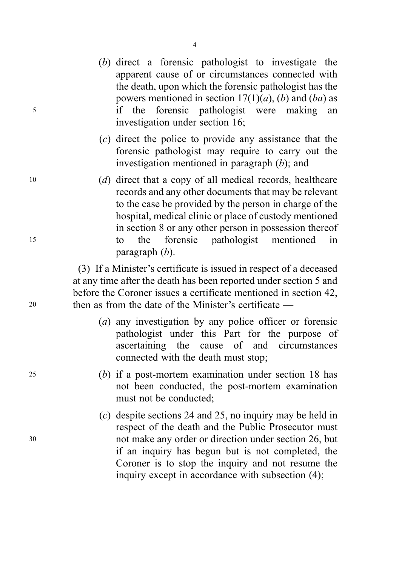- (b) direct a forensic pathologist to investigate the apparent cause of or circumstances connected with the death, upon which the forensic pathologist has the powers mentioned in section  $17(1)(a)$ , (b) and (ba) as <sup>5</sup> if the forensic pathologist were making an investigation under section 16;
	- (c) direct the police to provide any assistance that the forensic pathologist may require to carry out the investigation mentioned in paragraph (b); and
- <sup>10</sup> (d) direct that a copy of all medical records, healthcare records and any other documents that may be relevant to the case be provided by the person in charge of the hospital, medical clinic or place of custody mentioned in section 8 or any other person in possession thereof <sup>15</sup> to the forensic pathologist mentioned in paragraph (b).

(3) If a Minister's certificate is issued in respect of a deceased at any time after the death has been reported under section 5 and before the Coroner issues a certificate mentioned in section 42, <sup>20</sup> then as from the date of the Minister's certificate —

- (a) any investigation by any police officer or forensic pathologist under this Part for the purpose of ascertaining the cause of and circumstances connected with the death must stop;
- <sup>25</sup> (b) if a post-mortem examination under section 18 has not been conducted, the post-mortem examination must not be conducted;
- (c) despite sections 24 and 25, no inquiry may be held in respect of the death and the Public Prosecutor must <sup>30</sup> not make any order or direction under section 26, but if an inquiry has begun but is not completed, the Coroner is to stop the inquiry and not resume the inquiry except in accordance with subsection (4);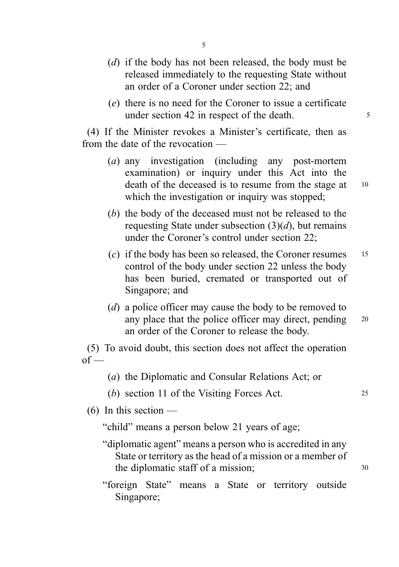5

- (d) if the body has not been released, the body must be released immediately to the requesting State without an order of a Coroner under section 22; and
- (e) there is no need for the Coroner to issue a certificate under section 42 in respect of the death.

(4) If the Minister revokes a Minister's certificate, then as from the date of the revocation —

- (a) any investigation (including any post-mortem examination) or inquiry under this Act into the death of the deceased is to resume from the stage at 10 which the investigation or inquiry was stopped;
- (b) the body of the deceased must not be released to the requesting State under subsection  $(3)(d)$ , but remains under the Coroner's control under section 22;
- (c) if the body has been so released, the Coroner resumes  $15$ control of the body under section 22 unless the body has been buried, cremated or transported out of Singapore; and
- (d) a police officer may cause the body to be removed to any place that the police officer may direct, pending 20 an order of the Coroner to release the body.

(5) To avoid doubt, this section does not affect the operation  $of$  —

- (a) the Diplomatic and Consular Relations Act; or
- (b) section 11 of the Visiting Forces Act. 25

 $(6)$  In this section —

"child" means a person below 21 years of age;

- "diplomatic agent" means a person who is accredited in any State or territory as the head of a mission or a member of the diplomatic staff of a mission; 30
- "foreign State" means a State or territory outside Singapore;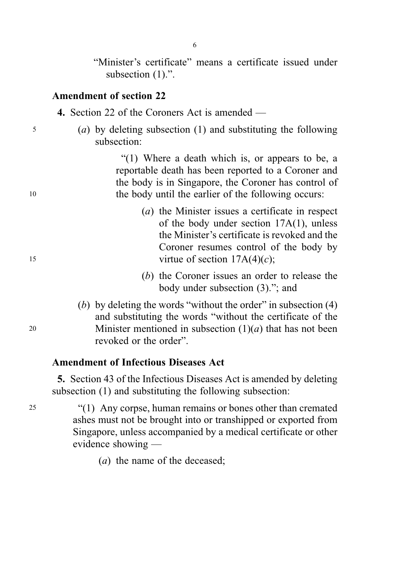"Minister's certificate" means a certificate issued under subsection  $(1)$ .".

#### Amendment of section 22

4. Section 22 of the Coroners Act is amended —

<sup>5</sup> (a) by deleting subsection (1) and substituting the following subsection:

"(1) Where a death which is, or appears to be, a reportable death has been reported to a Coroner and the body is in Singapore, the Coroner has control of <sup>10</sup> the body until the earlier of the following occurs:

- (a) the Minister issues a certificate in respect of the body under section 17A(1), unless the Minister's certificate is revoked and the Coroner resumes control of the body by 15 virtue of section  $17A(4)(c)$ ;
	- (b) the Coroner issues an order to release the body under subsection (3)."; and
- (b) by deleting the words "without the order" in subsection (4) and substituting the words "without the certificate of the 20 Minister mentioned in subsection  $(1)(a)$  that has not been revoked or the order".

## Amendment of Infectious Diseases Act

5. Section 43 of the Infectious Diseases Act is amended by deleting subsection (1) and substituting the following subsection:

<sup>25</sup> "(1) Any corpse, human remains or bones other than cremated ashes must not be brought into or transhipped or exported from Singapore, unless accompanied by a medical certificate or other evidence showing —

(*a*) the name of the deceased: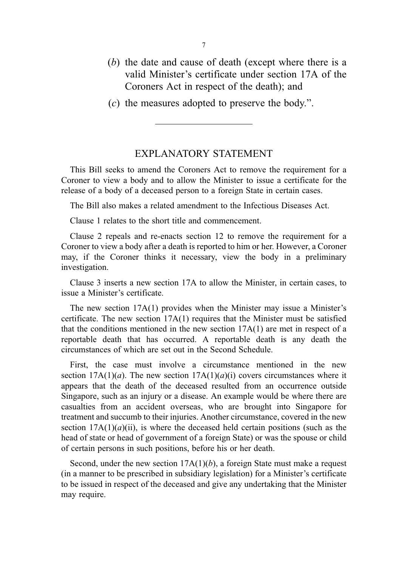- (b) the date and cause of death (except where there is a valid Minister's certificate under section 17A of the Coroners Act in respect of the death); and
- (c) the measures adopted to preserve the body.".

### EXPLANATORY STATEMENT

This Bill seeks to amend the Coroners Act to remove the requirement for a Coroner to view a body and to allow the Minister to issue a certificate for the release of a body of a deceased person to a foreign State in certain cases.

The Bill also makes a related amendment to the Infectious Diseases Act.

Clause 1 relates to the short title and commencement.

Clause 2 repeals and re-enacts section 12 to remove the requirement for a Coroner to view a body after a death is reported to him or her. However, a Coroner may, if the Coroner thinks it necessary, view the body in a preliminary investigation.

Clause 3 inserts a new section 17A to allow the Minister, in certain cases, to issue a Minister's certificate.

The new section 17A(1) provides when the Minister may issue a Minister's certificate. The new section  $17A(1)$  requires that the Minister must be satisfied that the conditions mentioned in the new section  $17A(1)$  are met in respect of a reportable death that has occurred. A reportable death is any death the circumstances of which are set out in the Second Schedule.

First, the case must involve a circumstance mentioned in the new section  $17A(1)(a)$ . The new section  $17A(1)(a)(i)$  covers circumstances where it appears that the death of the deceased resulted from an occurrence outside Singapore, such as an injury or a disease. An example would be where there are casualties from an accident overseas, who are brought into Singapore for treatment and succumb to their injuries. Another circumstance, covered in the new section  $17A(1)(a)(ii)$ , is where the deceased held certain positions (such as the head of state or head of government of a foreign State) or was the spouse or child of certain persons in such positions, before his or her death.

Second, under the new section  $17A(1)(b)$ , a foreign State must make a request (in a manner to be prescribed in subsidiary legislation) for a Minister's certificate to be issued in respect of the deceased and give any undertaking that the Minister may require.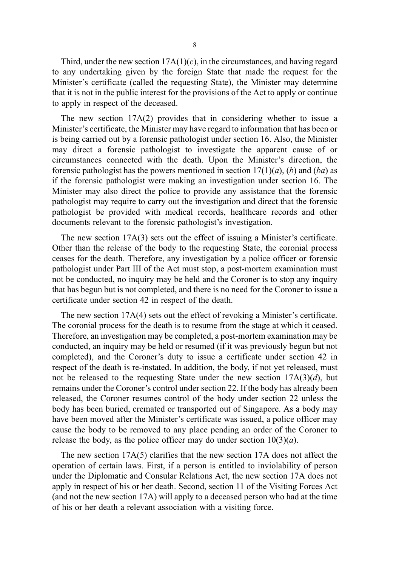Third, under the new section  $17A(1)(c)$ , in the circumstances, and having regard to any undertaking given by the foreign State that made the request for the Minister's certificate (called the requesting State), the Minister may determine that it is not in the public interest for the provisions of the Act to apply or continue to apply in respect of the deceased.

The new section 17A(2) provides that in considering whether to issue a Minister's certificate, the Minister may have regard to information that has been or is being carried out by a forensic pathologist under section 16. Also, the Minister may direct a forensic pathologist to investigate the apparent cause of or circumstances connected with the death. Upon the Minister's direction, the forensic pathologist has the powers mentioned in section  $17(1)(a)$ , (b) and (ba) as if the forensic pathologist were making an investigation under section 16. The Minister may also direct the police to provide any assistance that the forensic pathologist may require to carry out the investigation and direct that the forensic pathologist be provided with medical records, healthcare records and other documents relevant to the forensic pathologist's investigation.

The new section 17A(3) sets out the effect of issuing a Minister's certificate. Other than the release of the body to the requesting State, the coronial process ceases for the death. Therefore, any investigation by a police officer or forensic pathologist under Part III of the Act must stop, a post-mortem examination must not be conducted, no inquiry may be held and the Coroner is to stop any inquiry that has begun but is not completed, and there is no need for the Coroner to issue a certificate under section 42 in respect of the death.

The new section 17A(4) sets out the effect of revoking a Minister's certificate. The coronial process for the death is to resume from the stage at which it ceased. Therefore, an investigation may be completed, a post-mortem examination may be conducted, an inquiry may be held or resumed (if it was previously begun but not completed), and the Coroner's duty to issue a certificate under section 42 in respect of the death is re-instated. In addition, the body, if not yet released, must not be released to the requesting State under the new section  $17A(3)(d)$ , but remains under the Coroner's control under section 22. If the body has already been released, the Coroner resumes control of the body under section 22 unless the body has been buried, cremated or transported out of Singapore. As a body may have been moved after the Minister's certificate was issued, a police officer may cause the body to be removed to any place pending an order of the Coroner to release the body, as the police officer may do under section  $10(3)(a)$ .

The new section 17A(5) clarifies that the new section 17A does not affect the operation of certain laws. First, if a person is entitled to inviolability of person under the Diplomatic and Consular Relations Act, the new section 17A does not apply in respect of his or her death. Second, section 11 of the Visiting Forces Act (and not the new section 17A) will apply to a deceased person who had at the time of his or her death a relevant association with a visiting force.